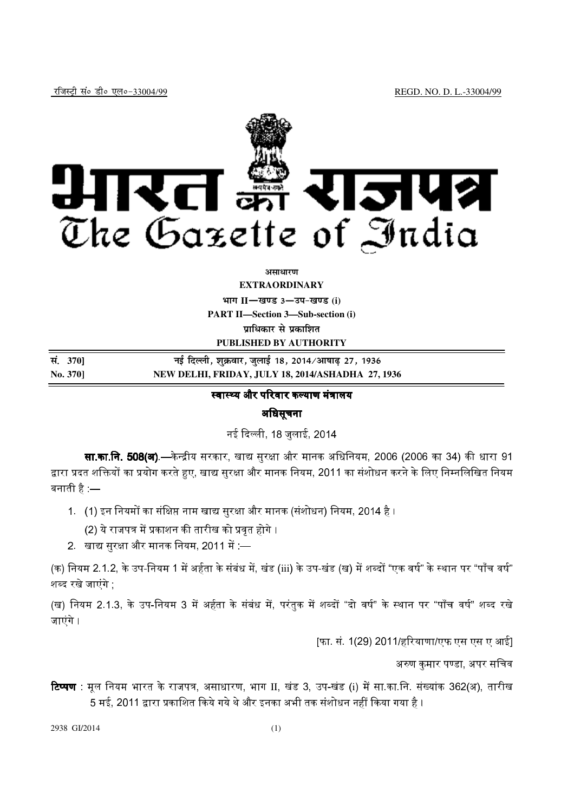

## *<u>ature</u>nt*

**EXTRAORDINARY**

 $\lim_{x \to \infty} \frac{1}{1 - \frac{1}{x}}$  and  $\lim_{x \to \infty} \frac{1}{1 - \frac{1}{x}}$ 

**PART II—Section 3—Sub-section (i)** 

**unterative divided** unter

**PUBLISHED BY AUTHORITY** 

**la- <sup>370</sup>**] **ubZ fnYyh] 'kqØokj] tqykbZ 18] 2014@vk"kk<+ 27] 1936 No. 370] NEW DELHI, FRIDAY, JULY 18, 2014/ASHADHA 27, 1936** 

# स्वास्थ्य और परिवार कल्याण मंत्रालय

## अधिसूचना

नई दिल्ली, 18 जलाई, 2014

**सा.का.नि. 508(अ).—**केन्द्रीय सरकार. खाद्य सरक्षा और मानक अधिनियम. 2006 (2006 का 34) की धारा 91 द्वारा प्रदत शक्तियों का प्रयोग करते हुए. खाद्य सरक्षा और मानक नियम. 2011 का संशोधन करने के लिए निम्नलिखित नियम बनाती है $\;$  —

1. (1) इन नियमों का संक्षिप्त नाम खाद्य सुरक्षा और मानक (संशोधन) नियम, 2014 है ।

(2) ये राजपत्र में प्रकाशन की तारीख को प्रवत होगे ।

2. खाद्य सुरक्षा और मानक नियम, 2011 में: —

(क) नियम 2.1.2, के उप-नियम 1 में अर्हता के संबंध में, खंड (iii) के उप-खंड (ख) में शब्दों "एक वर्ष" के स्थान पर "पाँच वर्ष" शब्द रखे जाएंग<mark>े</mark>

(ख) नियम 2.1.3. के उप-नियम 3 में अर्हता के संबंध में. परंतक में शब्दों "दो वर्ष" के स्थान पर "पाँच वर्ष" शब्द रखे जाएंगे ।

[फा. सं. 1(29) 2011/हरियाणा/एफ एस एस ए आई]

अरुण कुमार पण्डा, अपर सचिव

**टिप्पण** : मूल नियम भारत के राजपत्र, असाधारण, भाग II, खंड 3, उप-खंड (i) में सा.का.नि. संख्यांक 362(अ), तारीख 5 मई. 2011 द्वारा प्रकाशित किये गये थे और इनका अभी तक संशोधन नहीं किया गया है ।

2938 GI/2014 (1)